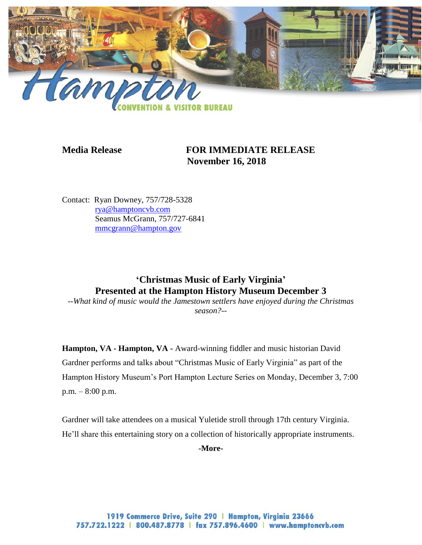

## **Media Release FOR IMMEDIATE RELEASE November 16, 2018**

Contact: Ryan Downey, 757/728-5328 [rya@hamptoncvb.com](mailto:rya@hamptoncvb.com) Seamus McGrann, 757/727-6841 [mmcgrann@hampton.gov](mailto:mmcgrann@hampton.gov)

# **'Christmas Music of Early Virginia' Presented at the Hampton History Museum December 3**

*--What kind of music would the Jamestown settlers have enjoyed during the Christmas season?--*

**Hampton, VA - Hampton, VA -** Award-winning fiddler and music historian David Gardner performs and talks about "Christmas Music of Early Virginia" as part of the Hampton History Museum's Port Hampton Lecture Series on Monday, December 3, 7:00 p.m. – 8:00 p.m.

Gardner will take attendees on a musical Yuletide stroll through 17th century Virginia. He'll share this entertaining story on a collection of historically appropriate instruments.

**-More-**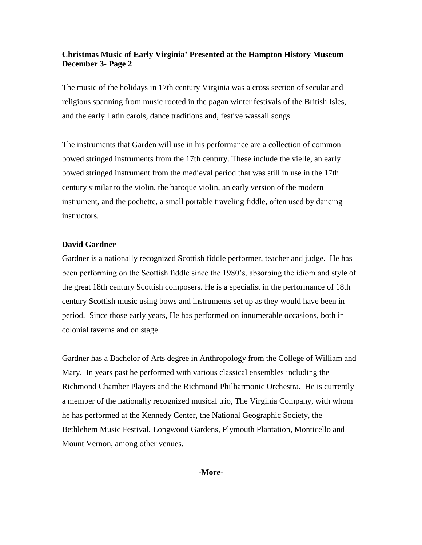## **Christmas Music of Early Virginia' Presented at the Hampton History Museum December 3- Page 2**

The music of the holidays in 17th century Virginia was a cross section of secular and religious spanning from music rooted in the pagan winter festivals of the British Isles, and the early Latin carols, dance traditions and, festive wassail songs.

The instruments that Garden will use in his performance are a collection of common bowed stringed instruments from the 17th century. These include the vielle, an early bowed stringed instrument from the medieval period that was still in use in the 17th century similar to the violin, the baroque violin, an early version of the modern instrument, and the pochette, a small portable traveling fiddle, often used by dancing instructors.

#### **David Gardner**

Gardner is a nationally recognized Scottish fiddle performer, teacher and judge. He has been performing on the Scottish fiddle since the 1980's, absorbing the idiom and style of the great 18th century Scottish composers. He is a specialist in the performance of 18th century Scottish music using bows and instruments set up as they would have been in period. Since those early years, He has performed on innumerable occasions, both in colonial taverns and on stage.

Gardner has a Bachelor of Arts degree in Anthropology from the College of William and Mary. In years past he performed with various classical ensembles including the Richmond Chamber Players and the Richmond Philharmonic Orchestra. He is currently a member of the nationally recognized musical trio, The Virginia Company, with whom he has performed at the Kennedy Center, the National Geographic Society, the Bethlehem Music Festival, Longwood Gardens, Plymouth Plantation, Monticello and Mount Vernon, among other venues.